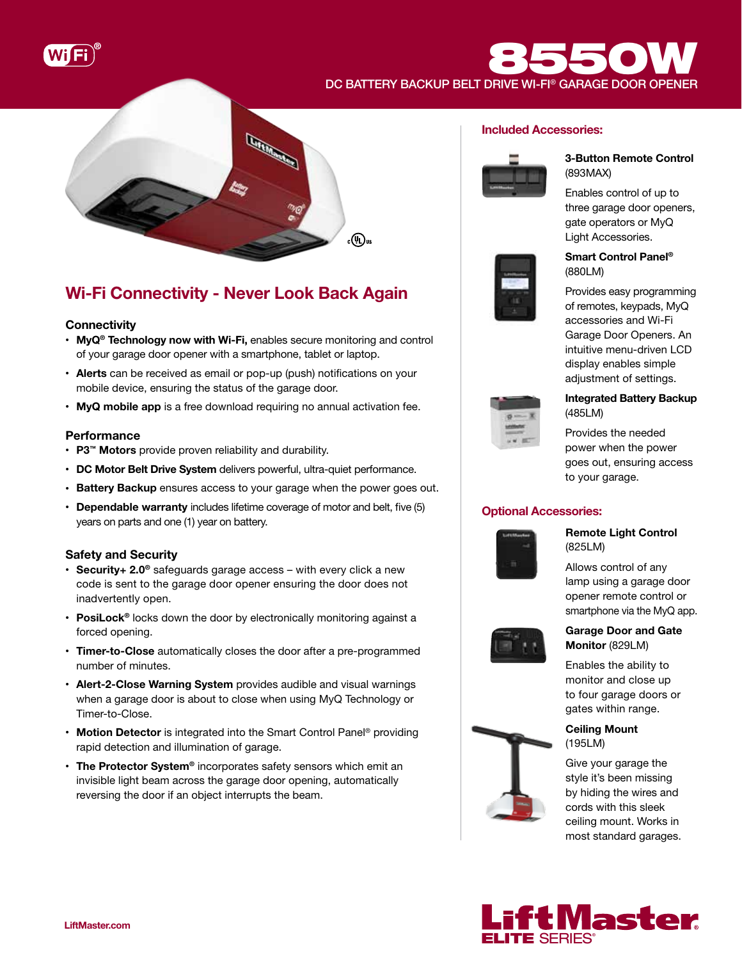

DC BATTERY BACKUP BELT DRIVE WI-FI® GARAGE DOOR OPENER



## Wi-Fi Connectivity - Never Look Back Again

## **Connectivity**

- MyQ<sup>®</sup> Technology now with Wi-Fi, enables secure monitoring and control of your garage door opener with a smartphone, tablet or laptop.
- Alerts can be received as email or pop-up (push) notifications on your mobile device, ensuring the status of the garage door.
- MyQ mobile app is a free download requiring no annual activation fee.

## **Performance**

- P3™ Motors provide proven reliability and durability.
- DC Motor Belt Drive System delivers powerful, ultra-quiet performance.
- Battery Backup ensures access to your garage when the power goes out.
- Dependable warranty includes lifetime coverage of motor and belt, five (5) years on parts and one (1) year on battery.

## Safety and Security

- Security+ 2.0<sup>®</sup> safeguards garage access with every click a new code is sent to the garage door opener ensuring the door does not inadvertently open.
- PosiLock<sup>®</sup> locks down the door by electronically monitoring against a forced opening.
- Timer-to-Close automatically closes the door after a pre-programmed number of minutes.
- Alert-2-Close Warning System provides audible and visual warnings when a garage door is about to close when using MyQ Technology or Timer-to-Close.
- Motion Detector is integrated into the Smart Control Panel<sup>®</sup> providing rapid detection and illumination of garage.
- The Protector System® incorporates safety sensors which emit an invisible light beam across the garage door opening, automatically reversing the door if an object interrupts the beam.

## Included Accessories:

 $3550$ 



### 3-Button Remote Control (893MAX)

Enables control of up to three garage door openers, gate operators or MyQ Light Accessories.



## Smart Control Panel® (880LM)

Provides easy programming of remotes, keypads, MyQ accessories and Wi-Fi Garage Door Openers. An intuitive menu-driven LCD display enables simple adjustment of settings.



## Integrated Battery Backup (485LM)

Provides the needed power when the power goes out, ensuring access to your garage.

## Optional Accessories:



Remote Light Control (825LM)

Allows control of any lamp using a garage door opener remote control or smartphone via the MyQ app.



## Garage Door and Gate Monitor (829LM)

Enables the ability to monitor and close up to four garage doors or gates within range.